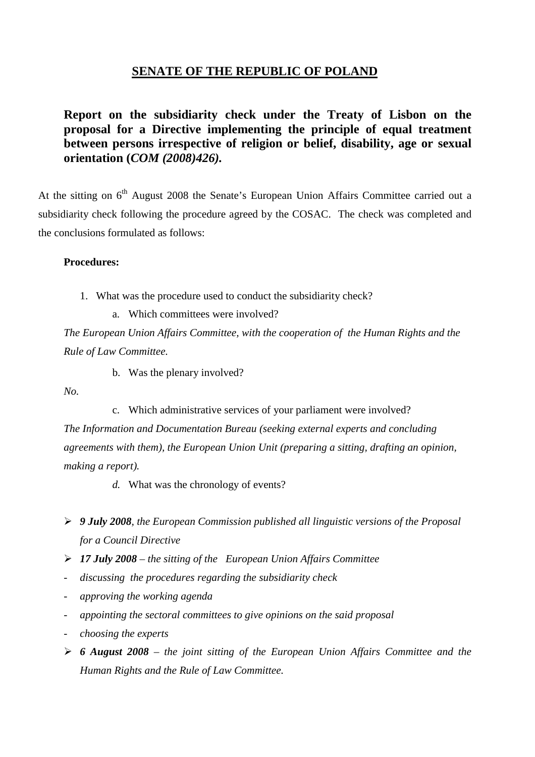## **SENATE OF THE REPUBLIC OF POLAND**

**Report on the subsidiarity check under the Treaty of Lisbon on the proposal for a Directive implementing the principle of equal treatment between persons irrespective of religion or belief, disability, age or sexual orientation (***COM (2008)426).*

At the sitting on 6<sup>th</sup> August 2008 the Senate's European Union Affairs Committee carried out a subsidiarity check following the procedure agreed by the COSAC. The check was completed and the conclusions formulated as follows:

## **Procedures:**

- 1. What was the procedure used to conduct the subsidiarity check?
	- a. Which committees were involved?

*The European Union Affairs Committee, with the cooperation of the Human Rights and the Rule of Law Committee.*

b. Was the plenary involved?

*No.*

c. Which administrative services of your parliament were involved? *The Information and Documentation Bureau (seeking external experts and concluding agreements with them), the European Union Unit (preparing a sitting, drafting an opinion, making a report).*

- *d.* What was the chronology of events?
- ¾ *9 July 2008, the European Commission published all linguistic versions of the Proposal for a Council Directive*
- ¾ *17 July 2008 the sitting of the European Union Affairs Committee*
- *discussing the procedures regarding the subsidiarity check*
- *approving the working agenda*
- *appointing the sectoral committees to give opinions on the said proposal*
- *choosing the experts*
- ¾ *6 August 2008 the joint sitting of the European Union Affairs Committee and the Human Rights and the Rule of Law Committee.*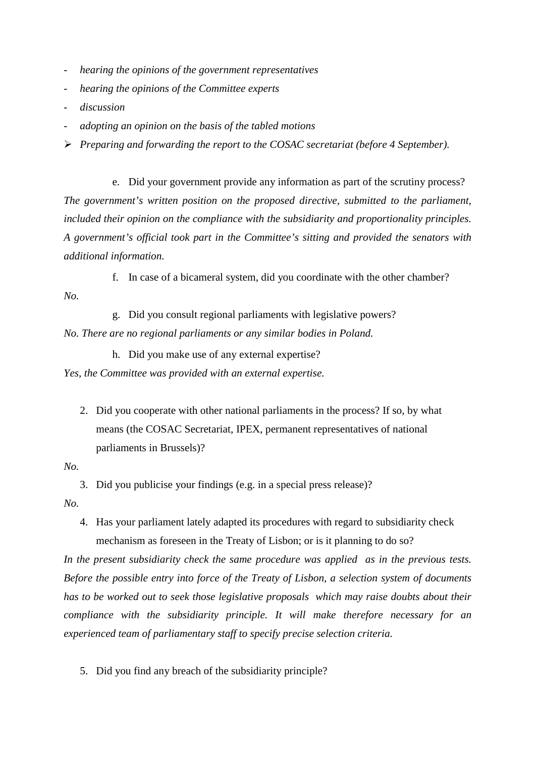- *hearing the opinions of the government representatives*
- *hearing the opinions of the Committee experts*
- *discussion*
- *adopting an opinion on the basis of the tabled motions*
- ¾ *Preparing and forwarding the report to the COSAC secretariat (before 4 September).*

e. Did your government provide any information as part of the scrutiny process? *The government's written position on the proposed directive, submitted to the parliament, included their opinion on the compliance with the subsidiarity and proportionality principles. A government's official took part in the Committee's sitting and provided the senators with additional information.*

f. In case of a bicameral system, did you coordinate with the other chamber?

*No.*

g. Did you consult regional parliaments with legislative powers? *No. There are no regional parliaments or any similar bodies in Poland.*

h. Did you make use of any external expertise?

*Yes, the Committee was provided with an external expertise.*

2. Did you cooperate with other national parliaments in the process? If so, by what means (the COSAC Secretariat, IPEX, permanent representatives of national parliaments in Brussels)?

*No.*

3. Did you publicise your findings (e.g. in a special press release)? *No.*

4. Has your parliament lately adapted its procedures with regard to subsidiarity check mechanism as foreseen in the Treaty of Lisbon; or is it planning to do so?

*In the present subsidiarity check the same procedure was applied as in the previous tests. Before the possible entry into force of the Treaty of Lisbon, a selection system of documents has to be worked out to seek those legislative proposals which may raise doubts about their compliance with the subsidiarity principle. It will make therefore necessary for an experienced team of parliamentary staff to specify precise selection criteria.*

5. Did you find any breach of the subsidiarity principle?